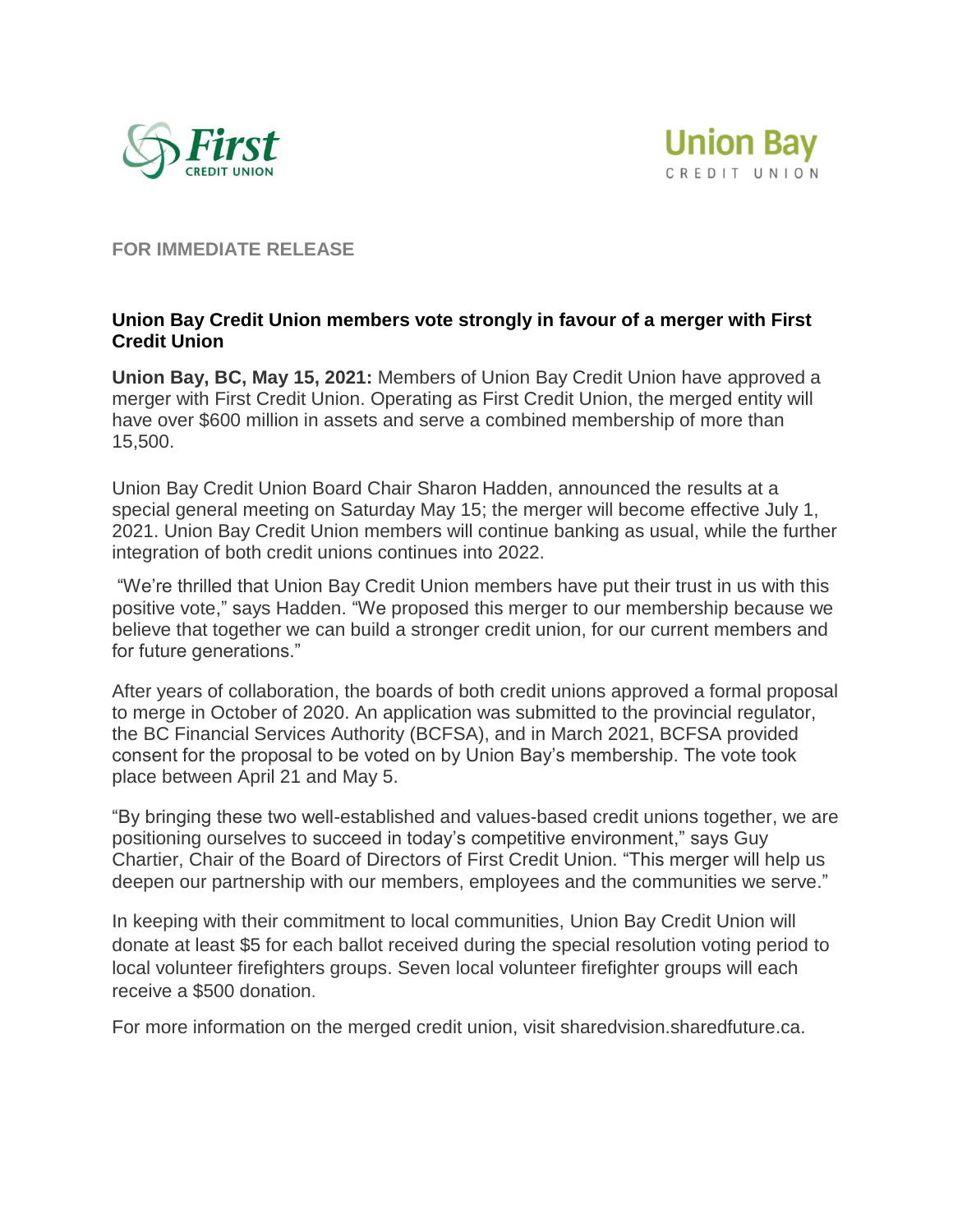



**FOR IMMEDIATE RELEASE**

## **Union Bay Credit Union members vote strongly in favour of a merger with First Credit Union**

**Union Bay, BC, May 15, 2021:** Members of Union Bay Credit Union have approved a merger with First Credit Union. Operating as First Credit Union, the merged entity will have over \$600 million in assets and serve a combined membership of more than 15,500.

Union Bay Credit Union Board Chair Sharon Hadden, announced the results at a special general meeting on Saturday May 15; the merger will become effective July 1, 2021. Union Bay Credit Union members will continue banking as usual, while the further integration of both credit unions continues into 2022.

"We're thrilled that Union Bay Credit Union members have put their trust in us with this positive vote," says Hadden. "We proposed this merger to our membership because we believe that together we can build a stronger credit union, for our current members and for future generations."

After years of collaboration, the boards of both credit unions approved a formal proposal to merge in October of 2020. An application was submitted to the provincial regulator, the BC Financial Services Authority (BCFSA), and in March 2021, BCFSA provided consent for the proposal to be voted on by Union Bay's membership. The vote took place between April 21 and May 5.

"By bringing these two well-established and values-based credit unions together, we are positioning ourselves to succeed in today's competitive environment," says Guy Chartier, Chair of the Board of Directors of First Credit Union. "This merger will help us deepen our partnership with our members, employees and the communities we serve."

In keeping with their commitment to local communities, Union Bay Credit Union will donate at least \$5 for each ballot received during the special resolution voting period to local volunteer firefighters groups. Seven local volunteer firefighter groups will each receive a \$500 donation.

For more information on the merged credit union, visit sharedvision.sharedfuture.ca.